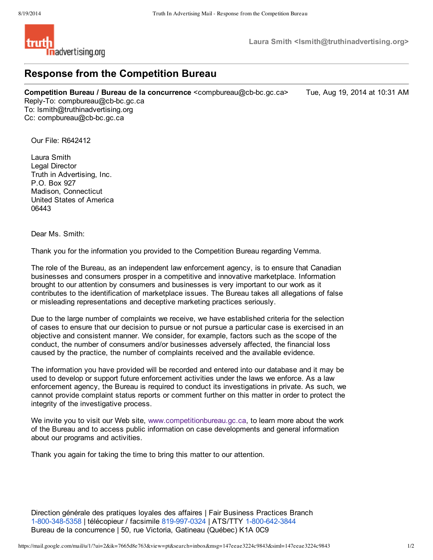

**Laura Smith <lsmith@truthinadvertising.org>**

## **Response from the Competition Bureau**

**Competition Bureau / Bureau de la concurrence** <compbureau@cb-bc.gc.ca> Tue, Aug 19, 2014 at 10:31 AM

Reply-To: compbureau@cb-bc.gc.ca To: lsmith@truthinadvertising.org Cc: compbureau@cb-bc.gc.ca

Our File: R642412

Laura Smith Legal Director Truth in Advertising, Inc. P.O. Box 927 Madison, Connecticut United States of America 06443

Dear Ms. Smith:

Thank you for the information you provided to the Competition Bureau regarding Vemma.

The role of the Bureau, as an independent law enforcement agency, is to ensure that Canadian businesses and consumers prosper in a competitive and innovative marketplace. Information brought to our attention by consumers and businesses is very important to our work as it contributes to the identification of marketplace issues. The Bureau takes all allegations of false or misleading representations and deceptive marketing practices seriously.

Due to the large number of complaints we receive, we have established criteria for the selection of cases to ensure that our decision to pursue or not pursue a particular case is exercised in an objective and consistent manner. We consider, for example, factors such as the scope of the conduct, the number of consumers and/or businesses adversely affected, the financial loss caused by the practice, the number of complaints received and the available evidence.

The information you have provided will be recorded and entered into our database and it may be used to develop or support future enforcement activities under the laws we enforce. As a law enforcement agency, the Bureau is required to conduct its investigations in private. As such, we cannot provide complaint status reports or comment further on this matter in order to protect the integrity of the investigative process.

We invite you to visit our Web site, www.competitionbureau.gc.ca, to learn more about the work of the Bureau and to access public information on case developments and general information about our programs and activities.

Thank you again for taking the time to bring this matter to our attention.

Direction générale des pratiques loyales des affaires | Fair Business Practices Branch 1-800-348-5358 | télécopieur / facsimile 819-997-0324 | ATS/TTY 1-800-642-3844 Bureau de la concurrence | 50, rue Victoria, Gatineau (Québec) K1A 0C9